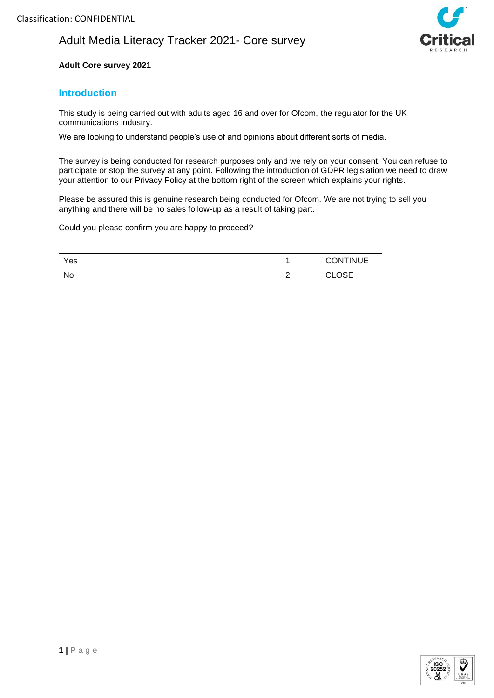

### **Adult Core survey 2021**

## **Introduction**

This study is being carried out with adults aged 16 and over for Ofcom, the regulator for the UK communications industry.

We are looking to understand people's use of and opinions about different sorts of media.

The survey is being conducted for research purposes only and we rely on your consent. You can refuse to participate or stop the survey at any point. Following the introduction of GDPR legislation we need to draw your attention to our Privacy Policy at the bottom right of the screen which explains your rights.

Please be assured this is genuine research being conducted for Ofcom. We are not trying to sell you anything and there will be no sales follow-up as a result of taking part.

Could you please confirm you are happy to proceed?

| Yes |             | <b>CONTINUE</b>   |  |
|-----|-------------|-------------------|--|
| No  | $\sim$<br>- | ∩≈⊏<br>ົ<br>◡∟◡◡⊏ |  |

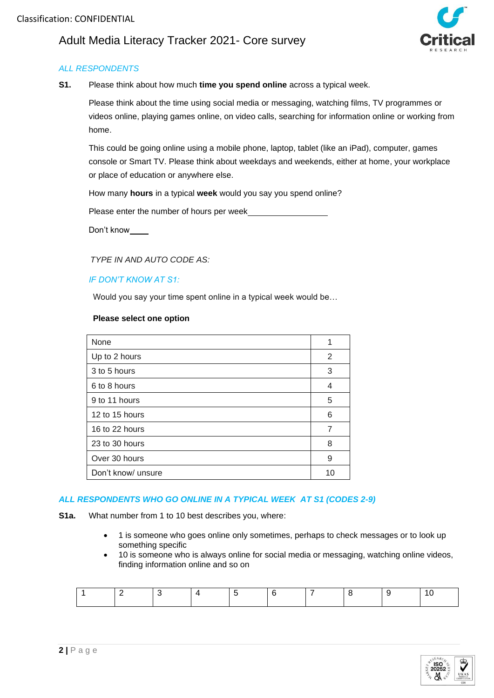

## *ALL RESPONDENTS*

**S1.** Please think about how much **time you spend online** across a typical week.

Please think about the time using social media or messaging, watching films, TV programmes or videos online, playing games online, on video calls, searching for information online or working from home.

This could be going online using a mobile phone, laptop, tablet (like an iPad), computer, games console or Smart TV. Please think about weekdays and weekends, either at home, your workplace or place of education or anywhere else.

How many **hours** in a typical **week** would you say you spend online?

Please enter the number of hours per week

Don't know

 *TYPE IN AND AUTO CODE AS:*

#### *IF DON'T KNOW AT S1:*

Would you say your time spent online in a typical week would be…

#### **Please select one option**

| None               | 1  |
|--------------------|----|
| Up to 2 hours      | 2  |
| 3 to 5 hours       | 3  |
| 6 to 8 hours       | 4  |
| 9 to 11 hours      | 5  |
| 12 to 15 hours     | 6  |
| 16 to 22 hours     | 7  |
| 23 to 30 hours     | 8  |
| Over 30 hours      | 9  |
| Don't know/ unsure | 10 |

## *ALL RESPONDENTS WHO GO ONLINE IN A TYPICAL WEEK AT S1 (CODES 2-9)*

- **S1a.** What number from 1 to 10 best describes you, where:
	- 1 is someone who goes online only sometimes, perhaps to check messages or to look up something specific
	- 10 is someone who is always online for social media or messaging, watching online videos, finding information online and so on

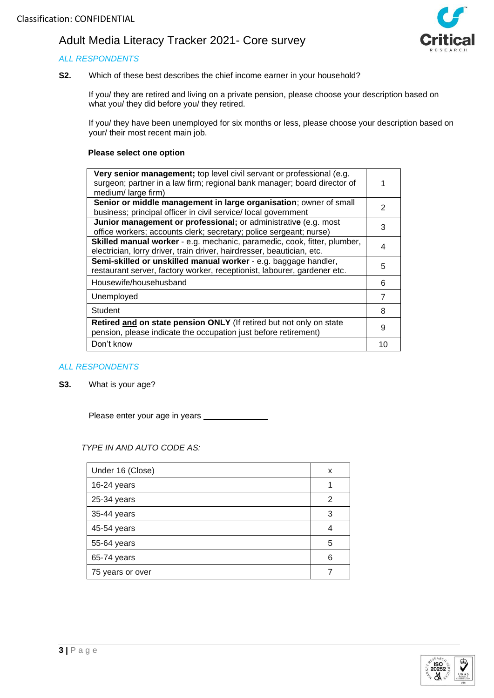## *ALL RESPONDENTS*



**S2.** Which of these best describes the chief income earner in your household?

If you/ they are retired and living on a private pension, please choose your description based on what you/ they did before you/ they retired.

If you/ they have been unemployed for six months or less, please choose your description based on your/ their most recent main job.

#### **Please select one option**

| Very senior management; top level civil servant or professional (e.g.<br>surgeon; partner in a law firm; regional bank manager; board director of<br>medium/large firm) |               |
|-------------------------------------------------------------------------------------------------------------------------------------------------------------------------|---------------|
| Senior or middle management in large organisation; owner of small<br>business; principal officer in civil service/ local government                                     | $\mathcal{P}$ |
| Junior management or professional; or administrative (e.g. most<br>office workers; accounts clerk; secretary; police sergeant; nurse)                                   | 3             |
| Skilled manual worker - e.g. mechanic, paramedic, cook, fitter, plumber,<br>electrician, lorry driver, train driver, hairdresser, beautician, etc.                      |               |
| Semi-skilled or unskilled manual worker - e.g. baggage handler,<br>restaurant server, factory worker, receptionist, labourer, gardener etc.                             | 5             |
| Housewife/househusband                                                                                                                                                  | 6             |
| Unemployed                                                                                                                                                              | 7             |
| Student                                                                                                                                                                 | 8             |
| Retired and on state pension ONLY (If retired but not only on state<br>pension, please indicate the occupation just before retirement)                                  | 9             |
| Don't know                                                                                                                                                              | 10            |
|                                                                                                                                                                         |               |

#### *ALL RESPONDENTS*

**S3.** What is your age?

Please enter your age in years

#### *TYPE IN AND AUTO CODE AS:*

| Under 16 (Close) | x |
|------------------|---|
| 16-24 years      |   |
| 25-34 years      | 2 |
| 35-44 years      | 3 |
| 45-54 years      | 4 |
| 55-64 years      | 5 |
| 65-74 years      | 6 |
| 75 years or over |   |

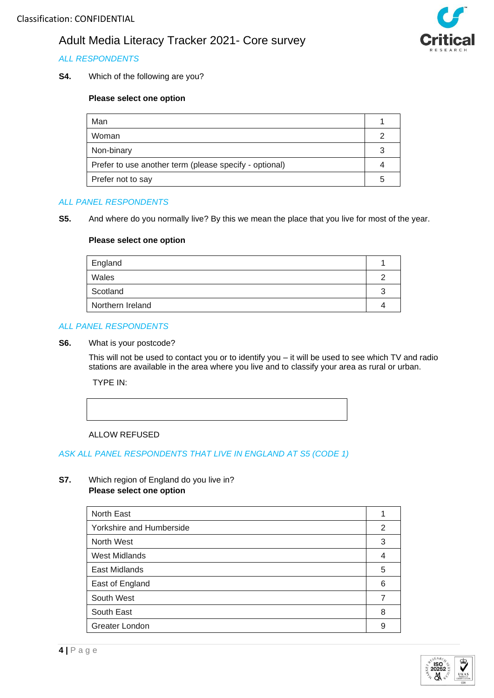## *ALL RESPONDENTS*

**S4.** Which of the following are you?

### **Please select one option**

| Man                                                    |  |
|--------------------------------------------------------|--|
| Woman                                                  |  |
| Non-binary                                             |  |
| Prefer to use another term (please specify - optional) |  |
| Prefer not to say                                      |  |

#### *ALL PANEL RESPONDENTS*

**S5.** And where do you normally live? By this we mean the place that you live for most of the year.

#### **Please select one option**

| England          |  |
|------------------|--|
| Wales            |  |
| Scotland         |  |
| Northern Ireland |  |

### *ALL PANEL RESPONDENTS*

#### **S6.** What is your postcode?

This will not be used to contact you or to identify you – it will be used to see which TV and radio stations are available in the area where you live and to classify your area as rural or urban.

TYPE IN:



#### ALLOW REFUSED

#### *ASK ALL PANEL RESPONDENTS THAT LIVE IN ENGLAND AT S5 (CODE 1)*

#### **S7.** Which region of England do you live in? **Please select one option**

| North East               |   |
|--------------------------|---|
| Yorkshire and Humberside | 2 |
| North West               | 3 |
| <b>West Midlands</b>     | 4 |
| East Midlands            | 5 |
| East of England          | 6 |
| South West               |   |
| South East               | 8 |
| Greater London           | 9 |
|                          |   |





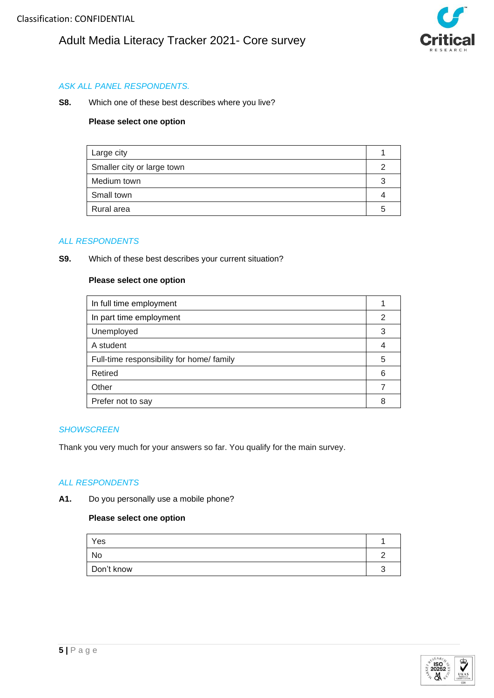

## *ASK ALL PANEL RESPONDENTS.*

**S8.** Which one of these best describes where you live?

#### **Please select one option**

| Large city                 |  |
|----------------------------|--|
| Smaller city or large town |  |
| Medium town                |  |
| Small town                 |  |
| Rural area                 |  |

#### *ALL RESPONDENTS*

**S9.** Which of these best describes your current situation?

#### **Please select one option**

| In full time employment                   |   |
|-------------------------------------------|---|
| In part time employment                   | 2 |
| Unemployed                                | 3 |
| A student                                 |   |
| Full-time responsibility for home/ family | 5 |
| Retired                                   | 6 |
| Other                                     |   |
| Prefer not to say                         |   |

#### *SHOWSCREEN*

Thank you very much for your answers so far. You qualify for the main survey.

#### *ALL RESPONDENTS*

**A1.** Do you personally use a mobile phone?

| Yes        |  |
|------------|--|
| No         |  |
| Don't know |  |

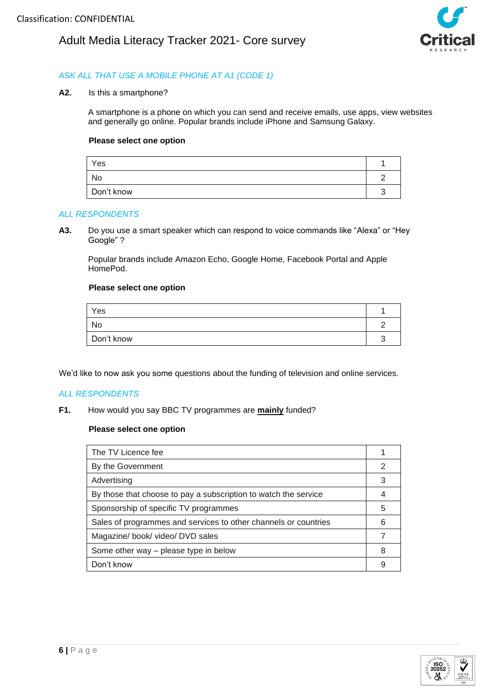

### *ASK ALL THAT USE A MOBILE PHONE AT A1 (CODE 1)*

**A2.** Is this a smartphone?

A smartphone is a phone on which you can send and receive emails, use apps, view websites and generally go online. Popular brands include iPhone and Samsung Galaxy.

#### **Please select one option**

| Yes        |  |
|------------|--|
| No         |  |
| Don't know |  |

#### *ALL RESPONDENTS*

**A3.** Do you use a smart speaker which can respond to voice commands like "Alexa" or "Hey Google" ?

Popular brands include Amazon Echo, Google Home, Facebook Portal and Apple HomePod.

#### **Please select one option**

| Yes        |  |
|------------|--|
| No         |  |
| Don't know |  |

We'd like to now ask you some questions about the funding of television and online services.

#### *ALL RESPONDENTS*

**F1.** How would you say BBC TV programmes are **mainly** funded?

| The TV Licence fee                                              |    |
|-----------------------------------------------------------------|----|
| By the Government                                               | 2  |
| Advertising                                                     | 3  |
| By those that choose to pay a subscription to watch the service |    |
| Sponsorship of specific TV programmes                           | 5  |
| Sales of programmes and services to other channels or countries | ิค |
| Magazine/book/video/DVD sales                                   |    |
| Some other way – please type in below                           | 8  |
| Don't know                                                      |    |

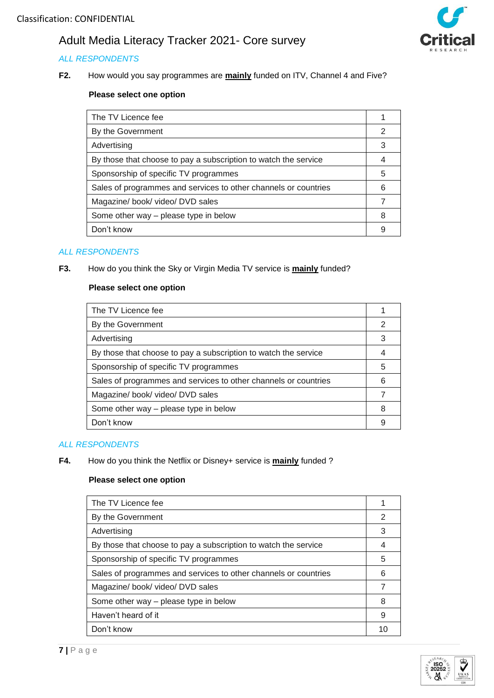## *ALL RESPONDENTS*

**F2.** How would you say programmes are **mainly** funded on ITV, Channel 4 and Five?



## **Please select one option**

| The TV Licence fee                                              |   |
|-----------------------------------------------------------------|---|
| By the Government                                               | 2 |
| Advertising                                                     | 3 |
| By those that choose to pay a subscription to watch the service |   |
| Sponsorship of specific TV programmes                           | 5 |
| Sales of programmes and services to other channels or countries | 6 |
| Magazine/book/video/DVD sales                                   |   |
| Some other way – please type in below                           | 8 |
| Don't know                                                      |   |

### *ALL RESPONDENTS*

**F3.** How do you think the Sky or Virgin Media TV service is **mainly** funded?

#### **Please select one option**

| The TV Licence fee                                              |   |
|-----------------------------------------------------------------|---|
| By the Government                                               | 2 |
| Advertising                                                     | 3 |
| By those that choose to pay a subscription to watch the service |   |
| Sponsorship of specific TV programmes                           | 5 |
| Sales of programmes and services to other channels or countries | 6 |
| Magazine/book/video/DVD sales                                   |   |
| Some other way – please type in below                           | 8 |
| Don't know                                                      | 9 |

### *ALL RESPONDENTS*

#### **F4.** How do you think the Netflix or Disney+ service is **mainly** funded ?

| The TV Licence fee<br>By the Government<br>2<br>3<br>Advertising<br>By those that choose to pay a subscription to watch the service<br>Sponsorship of specific TV programmes<br>5<br>Sales of programmes and services to other channels or countries<br>6<br>Magazine/book/video/DVD sales<br>Some other way - please type in below<br>8<br>Haven't heard of it<br>9<br>Don't know<br>10 |  |
|------------------------------------------------------------------------------------------------------------------------------------------------------------------------------------------------------------------------------------------------------------------------------------------------------------------------------------------------------------------------------------------|--|
|                                                                                                                                                                                                                                                                                                                                                                                          |  |
|                                                                                                                                                                                                                                                                                                                                                                                          |  |
|                                                                                                                                                                                                                                                                                                                                                                                          |  |
|                                                                                                                                                                                                                                                                                                                                                                                          |  |
|                                                                                                                                                                                                                                                                                                                                                                                          |  |
|                                                                                                                                                                                                                                                                                                                                                                                          |  |
|                                                                                                                                                                                                                                                                                                                                                                                          |  |
|                                                                                                                                                                                                                                                                                                                                                                                          |  |
|                                                                                                                                                                                                                                                                                                                                                                                          |  |
|                                                                                                                                                                                                                                                                                                                                                                                          |  |

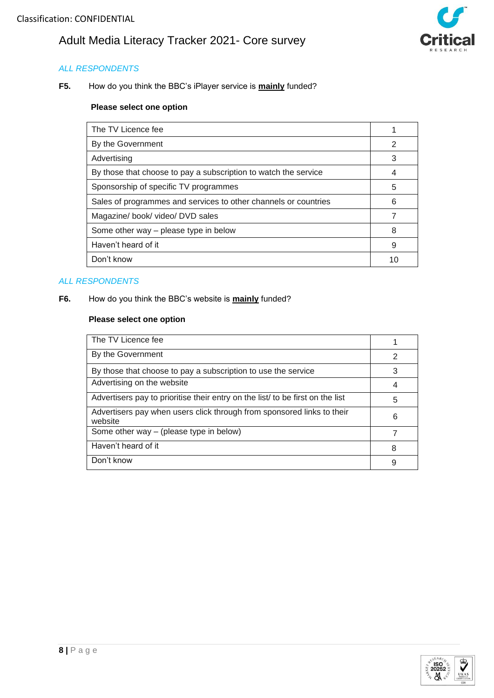

### *ALL RESPONDENTS*

**F5.** How do you think the BBC's iPlayer service is **mainly** funded?

#### **Please select one option**

| The TV Licence fee                                              |    |
|-----------------------------------------------------------------|----|
| By the Government                                               | 2  |
| Advertising                                                     | 3  |
| By those that choose to pay a subscription to watch the service | 4  |
| Sponsorship of specific TV programmes                           | 5  |
| Sales of programmes and services to other channels or countries | 6  |
| Magazine/ book/ video/ DVD sales                                | 7  |
| Some other way - please type in below                           | 8  |
| Haven't heard of it                                             | 9  |
| Don't know                                                      | 10 |

## *ALL RESPONDENTS*

#### **F6.** How do you think the BBC's website is **mainly** funded?

| The TV Licence fee                                                                |   |
|-----------------------------------------------------------------------------------|---|
| By the Government                                                                 | 2 |
| By those that choose to pay a subscription to use the service                     | 3 |
| Advertising on the website                                                        |   |
| Advertisers pay to prioritise their entry on the list/ to be first on the list    | 5 |
| Advertisers pay when users click through from sponsored links to their<br>website | 6 |
| Some other way – (please type in below)                                           |   |
| Haven't heard of it                                                               | 8 |
| Don't know                                                                        | 9 |

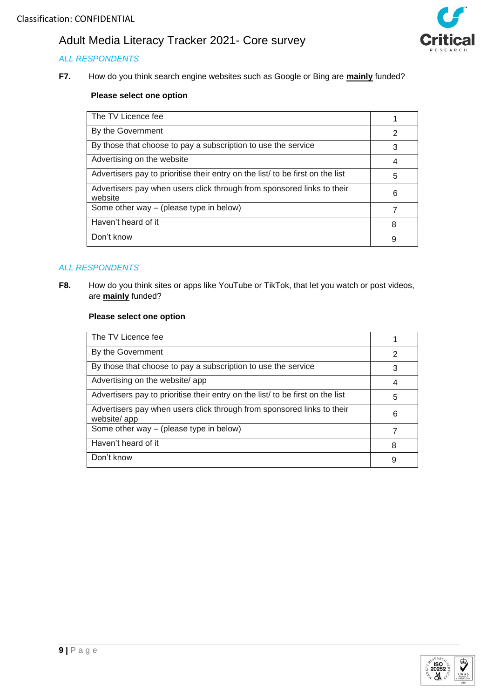## *ALL RESPONDENTS*

**F7.** How do you think search engine websites such as Google or Bing are **mainly** funded?



## **Please select one option**

| The TV Licence fee                                                                |   |
|-----------------------------------------------------------------------------------|---|
| By the Government                                                                 | 2 |
| By those that choose to pay a subscription to use the service                     | 3 |
| Advertising on the website                                                        | 4 |
| Advertisers pay to prioritise their entry on the list to be first on the list     | 5 |
| Advertisers pay when users click through from sponsored links to their<br>website | 6 |
| Some other way – (please type in below)                                           |   |
| Haven't heard of it                                                               | 8 |
| Don't know                                                                        | 9 |

### *ALL RESPONDENTS*

**F8.** How do you think sites or apps like YouTube or TikTok, that let you watch or post videos, are **mainly** funded?

| The TV Licence fee                                                                    |   |
|---------------------------------------------------------------------------------------|---|
| By the Government                                                                     | 2 |
| By those that choose to pay a subscription to use the service                         | 3 |
| Advertising on the website/app                                                        | 4 |
| Advertisers pay to prioritise their entry on the list to be first on the list         | 5 |
| Advertisers pay when users click through from sponsored links to their<br>website/app | 6 |
| Some other way – (please type in below)                                               |   |
| Haven't heard of it                                                                   | 8 |
| Don't know                                                                            | 9 |

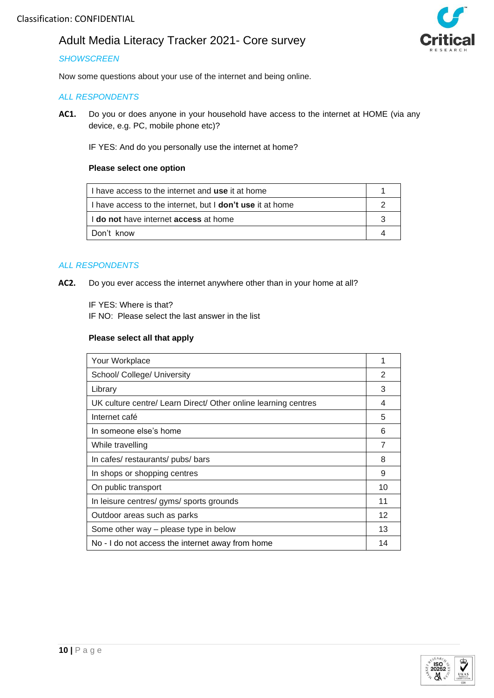### *SHOWSCREEN*

Now some questions about your use of the internet and being online.

### *ALL RESPONDENTS*

**AC1.** Do you or does anyone in your household have access to the internet at HOME (via any device, e.g. PC, mobile phone etc)?

IF YES: And do you personally use the internet at home?

#### **Please select one option**

| I I have access to the internet and use it at home               |  |
|------------------------------------------------------------------|--|
| I have access to the internet, but I <b>don't use</b> it at home |  |
| I I do not have internet access at home                          |  |
| l Don't know                                                     |  |

#### *ALL RESPONDENTS*

**AC2.** Do you ever access the internet anywhere other than in your home at all?

IF YES: Where is that?

IF NO: Please select the last answer in the list

| Your Workplace                                                 |    |
|----------------------------------------------------------------|----|
| School/ College/ University                                    | 2  |
| Library                                                        | 3  |
| UK culture centre/ Learn Direct/ Other online learning centres | 4  |
| Internet café                                                  | 5  |
| In someone else's home                                         | 6  |
| While travelling                                               | 7  |
| In cafes/restaurants/pubs/bars                                 | 8  |
| In shops or shopping centres                                   | 9  |
| On public transport                                            | 10 |
| In leisure centres/gyms/sports grounds                         | 11 |
| Outdoor areas such as parks                                    | 12 |
| Some other way – please type in below                          | 13 |
| No - I do not access the internet away from home               | 14 |



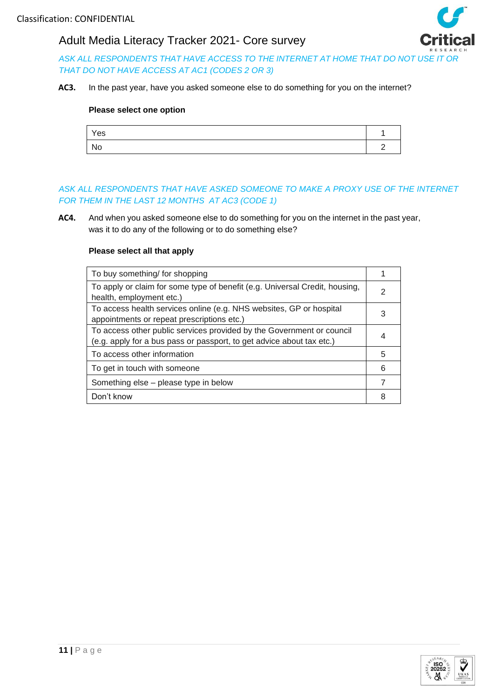

*ASK ALL RESPONDENTS THAT HAVE ACCESS TO THE INTERNET AT HOME THAT DO NOT USE IT OR THAT DO NOT HAVE ACCESS AT AC1 (CODES 2 OR 3)*

**AC3.** In the past year, have you asked someone else to do something for you on the internet?

#### **Please select one option**

| Yes |  |
|-----|--|
| No  |  |

### *ASK ALL RESPONDENTS THAT HAVE ASKED SOMEONE TO MAKE A PROXY USE OF THE INTERNET FOR THEM IN THE LAST 12 MONTHS AT AC3 (CODE 1)*

**AC4.** And when you asked someone else to do something for you on the internet in the past year, was it to do any of the following or to do something else?

| To buy something/ for shopping                                              |   |
|-----------------------------------------------------------------------------|---|
| To apply or claim for some type of benefit (e.g. Universal Credit, housing, |   |
| health, employment etc.)                                                    |   |
| To access health services online (e.g. NHS websites, GP or hospital         |   |
| appointments or repeat prescriptions etc.)                                  | 3 |
| To access other public services provided by the Government or council       |   |
| (e.g. apply for a bus pass or passport, to get advice about tax etc.)       |   |
| To access other information                                                 | 5 |
| To get in touch with someone                                                | 6 |
| Something else – please type in below                                       |   |
| Don't know                                                                  | 8 |

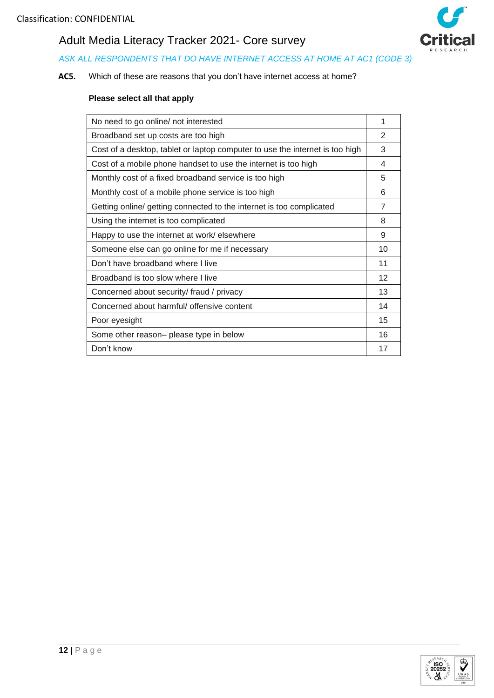

## *ASK ALL RESPONDENTS THAT DO HAVE INTERNET ACCESS AT HOME AT AC1 (CODE 3)*

## **AC5.** Which of these are reasons that you don't have internet access at home?

| No need to go online/ not interested                                         | 1  |
|------------------------------------------------------------------------------|----|
| Broadband set up costs are too high                                          | 2  |
| Cost of a desktop, tablet or laptop computer to use the internet is too high | 3  |
| Cost of a mobile phone handset to use the internet is too high               | 4  |
| Monthly cost of a fixed broadband service is too high                        | 5  |
| Monthly cost of a mobile phone service is too high                           | 6  |
| Getting online/ getting connected to the internet is too complicated         | 7  |
| Using the internet is too complicated                                        | 8  |
| Happy to use the internet at work/ elsewhere                                 | 9  |
| Someone else can go online for me if necessary                               | 10 |
| Don't have broadband where I live                                            | 11 |
| Broadband is too slow where I live                                           | 12 |
| Concerned about security/ fraud / privacy                                    | 13 |
| Concerned about harmful/ offensive content                                   | 14 |
| Poor eyesight                                                                | 15 |
| Some other reason- please type in below                                      | 16 |
| Don't know                                                                   | 17 |

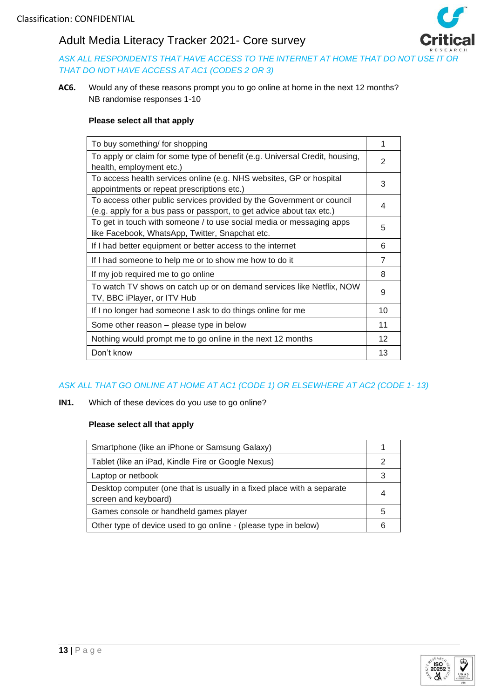

*ASK ALL RESPONDENTS THAT HAVE ACCESS TO THE INTERNET AT HOME THAT DO NOT USE IT OR THAT DO NOT HAVE ACCESS AT AC1 (CODES 2 OR 3)*

**AC6.** Would any of these reasons prompt you to go online at home in the next 12 months? NB randomise responses 1-10

#### **Please select all that apply**

| To buy something/ for shopping                                                                                                                 | 1              |
|------------------------------------------------------------------------------------------------------------------------------------------------|----------------|
| To apply or claim for some type of benefit (e.g. Universal Credit, housing,<br>health, employment etc.)                                        | 2              |
| To access health services online (e.g. NHS websites, GP or hospital<br>appointments or repeat prescriptions etc.)                              | 3              |
| To access other public services provided by the Government or council<br>(e.g. apply for a bus pass or passport, to get advice about tax etc.) | 4              |
| To get in touch with someone / to use social media or messaging apps<br>like Facebook, WhatsApp, Twitter, Snapchat etc.                        | 5              |
| If I had better equipment or better access to the internet                                                                                     | 6              |
| If I had someone to help me or to show me how to do it                                                                                         | $\overline{7}$ |
| If my job required me to go online                                                                                                             | 8              |
| To watch TV shows on catch up or on demand services like Netflix, NOW<br>TV, BBC iPlayer, or ITV Hub                                           | 9              |
| If I no longer had someone I ask to do things online for me                                                                                    | 10             |
| Some other reason – please type in below                                                                                                       | 11             |
| Nothing would prompt me to go online in the next 12 months                                                                                     | 12             |
| Don't know                                                                                                                                     | 13             |

## *ASK ALL THAT GO ONLINE AT HOME AT AC1 (CODE 1) OR ELSEWHERE AT AC2 (CODE 1- 13)*

**IN1.** Which of these devices do you use to go online?

| Smartphone (like an iPhone or Samsung Galaxy)                                                  |    |
|------------------------------------------------------------------------------------------------|----|
| Tablet (like an iPad, Kindle Fire or Google Nexus)                                             |    |
| Laptop or netbook                                                                              |    |
| Desktop computer (one that is usually in a fixed place with a separate<br>screen and keyboard) |    |
| Games console or handheld games player                                                         | :5 |
| Other type of device used to go online - (please type in below)                                |    |

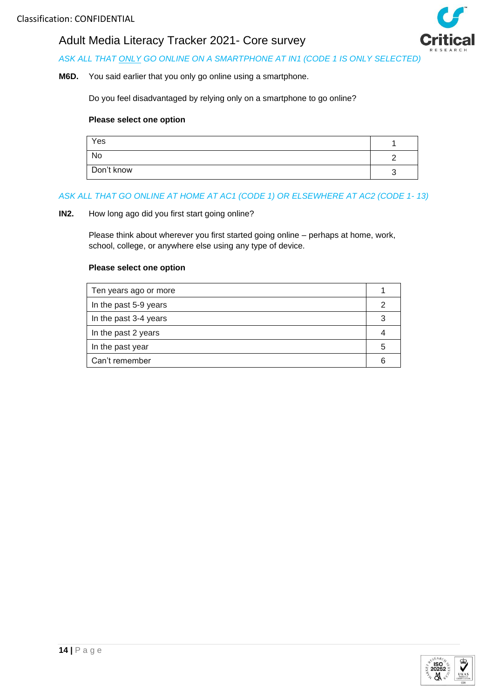

## *ASK ALL THAT ONLY GO ONLINE ON A SMARTPHONE AT IN1 (CODE 1 IS ONLY SELECTED)*

#### **M6D.** You said earlier that you only go online using a smartphone.

Do you feel disadvantaged by relying only on a smartphone to go online?

#### **Please select one option**

| Yes        |  |
|------------|--|
| No         |  |
| Don't know |  |

#### *ASK ALL THAT GO ONLINE AT HOME AT AC1 (CODE 1) OR ELSEWHERE AT AC2 (CODE 1- 13)*

#### **IN2.** How long ago did you first start going online?

Please think about wherever you first started going online – perhaps at home, work, school, college, or anywhere else using any type of device.

| Ten years ago or more |   |
|-----------------------|---|
| In the past 5-9 years |   |
| In the past 3-4 years |   |
| In the past 2 years   |   |
| In the past year      | h |
| Can't remember        |   |

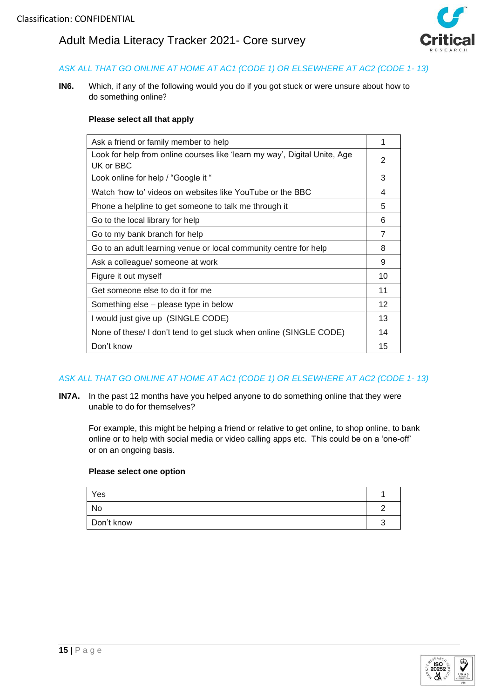

## *ASK ALL THAT GO ONLINE AT HOME AT AC1 (CODE 1) OR ELSEWHERE AT AC2 (CODE 1- 13)*

**IN6.** Which, if any of the following would you do if you got stuck or were unsure about how to do something online?

#### **Please select all that apply**

| Ask a friend or family member to help                                                  | 1                 |
|----------------------------------------------------------------------------------------|-------------------|
| Look for help from online courses like 'learn my way', Digital Unite, Age<br>UK or BBC | 2                 |
| Look online for help / "Google it "                                                    | 3                 |
| Watch 'how to' videos on websites like YouTube or the BBC                              | 4                 |
| Phone a helpline to get someone to talk me through it                                  | 5                 |
| Go to the local library for help                                                       | 6                 |
| Go to my bank branch for help                                                          | 7                 |
| Go to an adult learning venue or local community centre for help                       | 8                 |
| Ask a colleague/ someone at work                                                       | 9                 |
| Figure it out myself                                                                   | 10                |
| Get someone else to do it for me                                                       | 11                |
| Something else – please type in below                                                  | $12 \overline{ }$ |
| I would just give up (SINGLE CODE)                                                     | 13                |
| None of these/ I don't tend to get stuck when online (SINGLE CODE)                     | 14                |
| Don't know                                                                             | 15                |
|                                                                                        |                   |

## *ASK ALL THAT GO ONLINE AT HOME AT AC1 (CODE 1) OR ELSEWHERE AT AC2 (CODE 1- 13)*

**IN7A.** In the past 12 months have you helped anyone to do something online that they were unable to do for themselves?

For example, this might be helping a friend or relative to get online, to shop online, to bank online or to help with social media or video calling apps etc. This could be on a 'one-off' or on an ongoing basis.

| Yes        |   |
|------------|---|
| No         |   |
| Don't know | , |

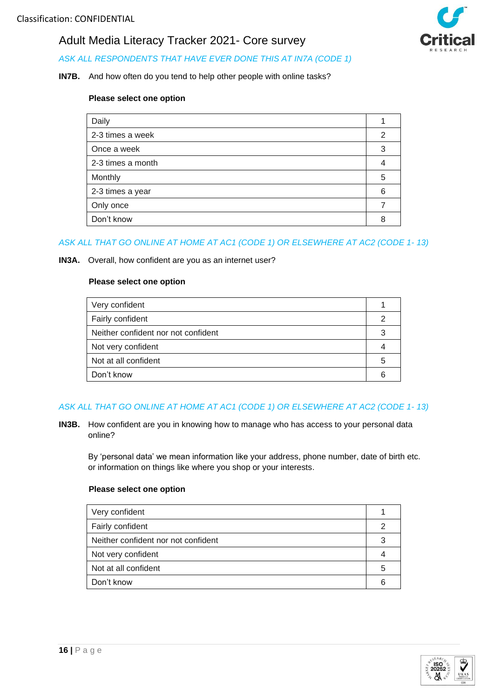

#### **IN7B.** And how often do you tend to help other people with online tasks?

#### **Please select one option**

| Daily             |   |
|-------------------|---|
| 2-3 times a week  | 2 |
| Once a week       | 3 |
| 2-3 times a month |   |
| Monthly           | 5 |
| 2-3 times a year  | 6 |
| Only once         |   |
| Don't know        | 8 |

## *ASK ALL THAT GO ONLINE AT HOME AT AC1 (CODE 1) OR ELSEWHERE AT AC2 (CODE 1- 13)*

#### **IN3A.** Overall, how confident are you as an internet user?

#### **Please select one option**

| Very confident                      |    |
|-------------------------------------|----|
| Fairly confident                    |    |
| Neither confident nor not confident |    |
| Not very confident                  |    |
| Not at all confident                | :C |
| Don't know                          |    |

## *ASK ALL THAT GO ONLINE AT HOME AT AC1 (CODE 1) OR ELSEWHERE AT AC2 (CODE 1- 13)*

**IN3B.** How confident are you in knowing how to manage who has access to your personal data online?

By 'personal data' we mean information like your address, phone number, date of birth etc. or information on things like where you shop or your interests.

| Very confident                      |    |
|-------------------------------------|----|
| Fairly confident                    |    |
| Neither confident nor not confident |    |
| Not very confident                  |    |
| Not at all confident                | :5 |
| Don't know                          |    |



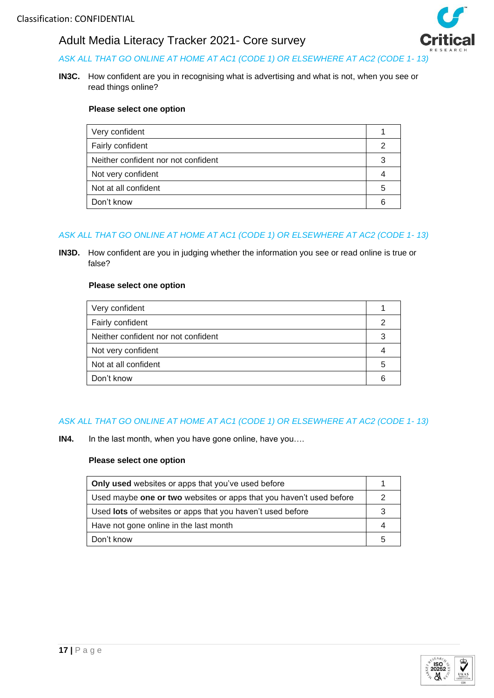

## *ASK ALL THAT GO ONLINE AT HOME AT AC1 (CODE 1) OR ELSEWHERE AT AC2 (CODE 1- 13)*

**IN3C.** How confident are you in recognising what is advertising and what is not, when you see or read things online?

#### **Please select one option**

| Very confident                      |   |
|-------------------------------------|---|
| Fairly confident                    |   |
| Neither confident nor not confident |   |
| Not very confident                  |   |
| Not at all confident                | 5 |
| Don't know                          |   |

## *ASK ALL THAT GO ONLINE AT HOME AT AC1 (CODE 1) OR ELSEWHERE AT AC2 (CODE 1- 13)*

**IN3D.** How confident are you in judging whether the information you see or read online is true or false?

#### **Please select one option**

| Very confident                      |  |
|-------------------------------------|--|
| Fairly confident                    |  |
| Neither confident nor not confident |  |
| Not very confident                  |  |
| Not at all confident                |  |
| Don't know                          |  |

## *ASK ALL THAT GO ONLINE AT HOME AT AC1 (CODE 1) OR ELSEWHERE AT AC2 (CODE 1- 13)*

**IN4.** In the last month, when you have gone online, have you….

| <b>Only used</b> websites or apps that you've used before           |  |
|---------------------------------------------------------------------|--|
| Used maybe one or two websites or apps that you haven't used before |  |
| Used lots of websites or apps that you haven't used before          |  |
| Have not gone online in the last month                              |  |
| Don't know                                                          |  |

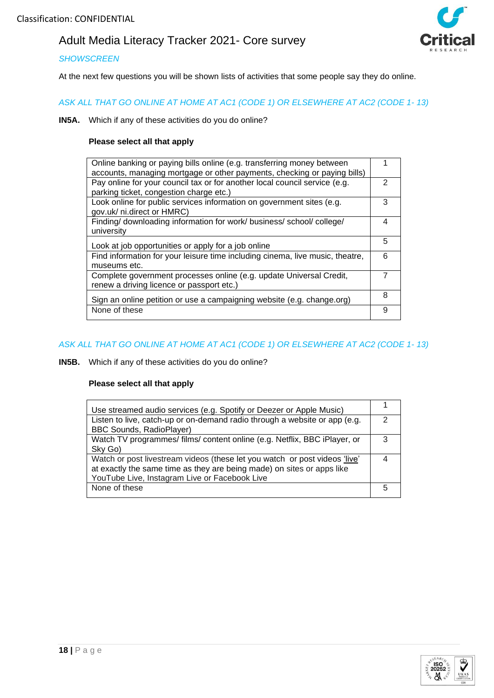

#### *SHOWSCREEN*

At the next few questions you will be shown lists of activities that some people say they do online.

*ASK ALL THAT GO ONLINE AT HOME AT AC1 (CODE 1) OR ELSEWHERE AT AC2 (CODE 1- 13)*

**IN5A.** Which if any of these activities do you do online?

#### **Please select all that apply**

| Online banking or paying bills online (e.g. transferring money between        |   |
|-------------------------------------------------------------------------------|---|
| accounts, managing mortgage or other payments, checking or paying bills)      |   |
| Pay online for your council tax or for another local council service (e.g.    | 2 |
| parking ticket, congestion charge etc.)                                       |   |
| Look online for public services information on government sites (e.g.         | 3 |
| gov.uk/ ni.direct or HMRC)                                                    |   |
| Finding/ downloading information for work/ business/ school/ college/         | 4 |
| university                                                                    |   |
|                                                                               | 5 |
| Look at job opportunities or apply for a job online                           |   |
| Find information for your leisure time including cinema, live music, theatre, | 6 |
| museums etc.                                                                  |   |
| Complete government processes online (e.g. update Universal Credit,           |   |
| renew a driving licence or passport etc.)                                     |   |
|                                                                               | 8 |
| Sign an online petition or use a campaigning website (e.g. change.org)        |   |
| None of these                                                                 | 9 |
|                                                                               |   |

#### *ASK ALL THAT GO ONLINE AT HOME AT AC1 (CODE 1) OR ELSEWHERE AT AC2 (CODE 1- 13)*

**IN5B.** Which if any of these activities do you do online?

| Use streamed audio services (e.g. Spotify or Deezer or Apple Music)        |   |
|----------------------------------------------------------------------------|---|
| Listen to live, catch-up or on-demand radio through a website or app (e.g. | 2 |
| <b>BBC Sounds, RadioPlayer)</b>                                            |   |
| Watch TV programmes/ films/ content online (e.g. Netflix, BBC iPlayer, or  | 3 |
| Sky Go)                                                                    |   |
| Watch or post livestream videos (these let you watch or post videos 'live' |   |
| at exactly the same time as they are being made) on sites or apps like     |   |
| YouTube Live, Instagram Live or Facebook Live                              |   |
| None of these                                                              |   |
|                                                                            |   |

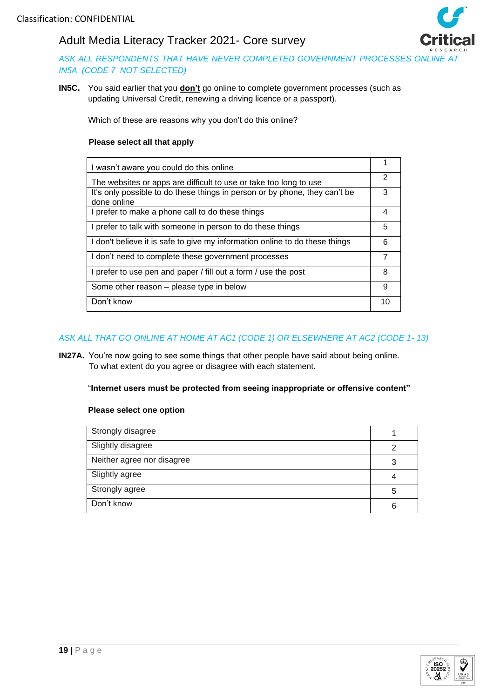

*ASK ALL RESPONDENTS THAT HAVE NEVER COMPLETED GOVERNMENT PROCESSES ONLINE AT IN5A (CODE 7 NOT SELECTED)*

**IN5C.** You said earlier that you **don't** go online to complete government processes (such as updating Universal Credit, renewing a driving licence or a passport).

Which of these are reasons why you don't do this online?

#### **Please select all that apply**

| I wasn't aware you could do this online                                                   |    |
|-------------------------------------------------------------------------------------------|----|
| The websites or apps are difficult to use or take too long to use                         | 2  |
| It's only possible to do these things in person or by phone, they can't be<br>done online | 3  |
| I prefer to make a phone call to do these things                                          | 4  |
| I prefer to talk with someone in person to do these things                                | 5  |
| I don't believe it is safe to give my information online to do these things               | 6  |
| I don't need to complete these government processes                                       | 7  |
| I prefer to use pen and paper / fill out a form / use the post                            | 8  |
| Some other reason – please type in below                                                  | 9  |
| Don't know                                                                                | 10 |

### *ASK ALL THAT GO ONLINE AT HOME AT AC1 (CODE 1) OR ELSEWHERE AT AC2 (CODE 1- 13)*

**IN27A.** You're now going to see some things that other people have said about being online. To what extent do you agree or disagree with each statement.

#### "**Internet users must be protected from seeing inappropriate or offensive content"**

| Strongly disagree          |   |
|----------------------------|---|
| Slightly disagree          | 2 |
| Neither agree nor disagree |   |
| Slightly agree             |   |
| Strongly agree             | 5 |
| Don't know                 | 6 |

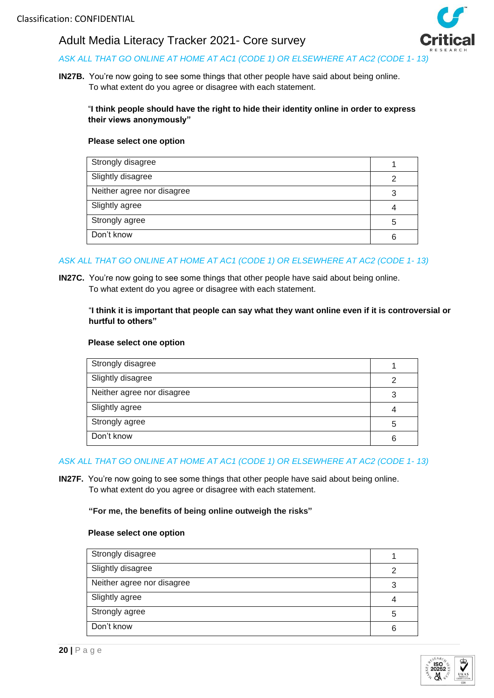

## *ASK ALL THAT GO ONLINE AT HOME AT AC1 (CODE 1) OR ELSEWHERE AT AC2 (CODE 1- 13)*

**IN27B.** You're now going to see some things that other people have said about being online. To what extent do you agree or disagree with each statement.

### "**I think people should have the right to hide their identity online in order to express their views anonymously"**

#### **Please select one option**

| Strongly disagree          |   |
|----------------------------|---|
| Slightly disagree          |   |
| Neither agree nor disagree |   |
| Slightly agree             |   |
| Strongly agree             | 5 |
| Don't know                 | 6 |

## *ASK ALL THAT GO ONLINE AT HOME AT AC1 (CODE 1) OR ELSEWHERE AT AC2 (CODE 1- 13)*

**IN27C.** You're now going to see some things that other people have said about being online. To what extent do you agree or disagree with each statement.

#### "**I think it is important that people can say what they want online even if it is controversial or hurtful to others"**

#### **Please select one option**

| Strongly disagree          |   |
|----------------------------|---|
| Slightly disagree          | ◠ |
| Neither agree nor disagree | 3 |
| Slightly agree             |   |
| Strongly agree             | 5 |
| Don't know                 | 6 |

#### *ASK ALL THAT GO ONLINE AT HOME AT AC1 (CODE 1) OR ELSEWHERE AT AC2 (CODE 1- 13)*

**IN27F.** You're now going to see some things that other people have said about being online. To what extent do you agree or disagree with each statement.

#### **"For me, the benefits of being online outweigh the risks"**

| Strongly disagree          |   |
|----------------------------|---|
| Slightly disagree          | っ |
| Neither agree nor disagree | 3 |
| Slightly agree             |   |
| Strongly agree             | 5 |
| Don't know                 | 6 |

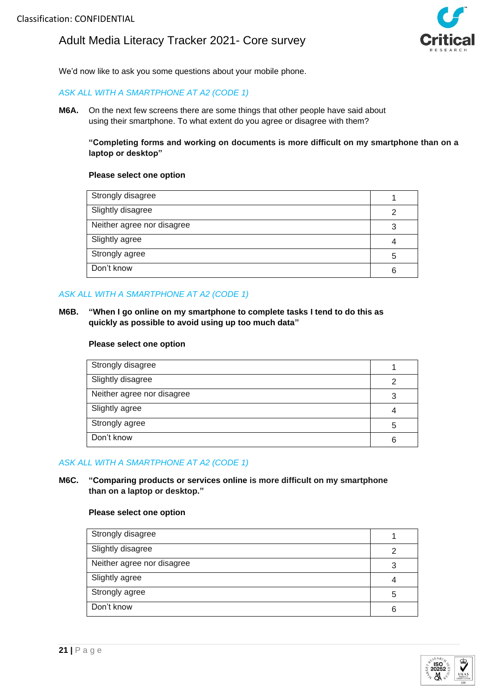

We'd now like to ask you some questions about your mobile phone.

#### *ASK ALL WITH A SMARTPHONE AT A2 (CODE 1)*

**M6A.** On the next few screens there are some things that other people have said about using their smartphone. To what extent do you agree or disagree with them?

**"Completing forms and working on documents is more difficult on my smartphone than on a laptop or desktop"**

#### **Please select one option**

| Strongly disagree          |   |
|----------------------------|---|
| Slightly disagree          | っ |
| Neither agree nor disagree | 3 |
| Slightly agree             |   |
| Strongly agree             | 5 |
| Don't know                 | հ |

#### *ASK ALL WITH A SMARTPHONE AT A2 (CODE 1)*

**M6B. "When I go online on my smartphone to complete tasks I tend to do this as quickly as possible to avoid using up too much data"**

#### **Please select one option**

| Strongly disagree          |   |
|----------------------------|---|
| Slightly disagree          |   |
| Neither agree nor disagree |   |
| Slightly agree             |   |
| Strongly agree             | 5 |
| Don't know                 |   |

#### *ASK ALL WITH A SMARTPHONE AT A2 (CODE 1)*

#### **M6C. "Comparing products or services online is more difficult on my smartphone than on a laptop or desktop."**

| Strongly disagree          |   |
|----------------------------|---|
| Slightly disagree          | 2 |
| Neither agree nor disagree | 3 |
| Slightly agree             |   |
| Strongly agree             | 5 |
| Don't know                 | 6 |

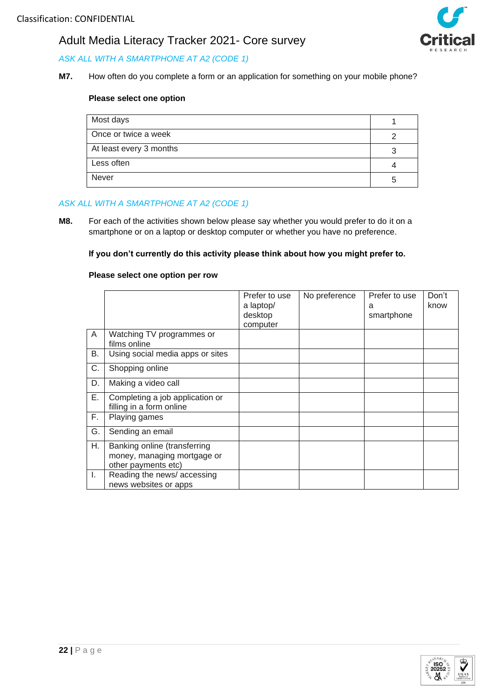

*ASK ALL WITH A SMARTPHONE AT A2 (CODE 1)* 

**M7.** How often do you complete a form or an application for something on your mobile phone?

#### **Please select one option**

| Most days               |   |
|-------------------------|---|
| Once or twice a week    |   |
| At least every 3 months | 3 |
| Less often              |   |
| Never                   | 5 |

#### *ASK ALL WITH A SMARTPHONE AT A2 (CODE 1)*

**M8.** For each of the activities shown below please say whether you would prefer to do it on a smartphone or on a laptop or desktop computer or whether you have no preference.

**If you don't currently do this activity please think about how you might prefer to.**

#### **Please select one option per row**

|    |                                                                                    | Prefer to use<br>a laptop/<br>desktop<br>computer | No preference | Prefer to use<br>a<br>smartphone | Don't<br>know |
|----|------------------------------------------------------------------------------------|---------------------------------------------------|---------------|----------------------------------|---------------|
| A  | Watching TV programmes or<br>films online                                          |                                                   |               |                                  |               |
| В. | Using social media apps or sites                                                   |                                                   |               |                                  |               |
| C. | Shopping online                                                                    |                                                   |               |                                  |               |
| D. | Making a video call                                                                |                                                   |               |                                  |               |
| Ε. | Completing a job application or<br>filling in a form online                        |                                                   |               |                                  |               |
| F. | Playing games                                                                      |                                                   |               |                                  |               |
| G. | Sending an email                                                                   |                                                   |               |                                  |               |
| Η. | Banking online (transferring<br>money, managing mortgage or<br>other payments etc) |                                                   |               |                                  |               |
| L. | Reading the news/accessing<br>news websites or apps                                |                                                   |               |                                  |               |

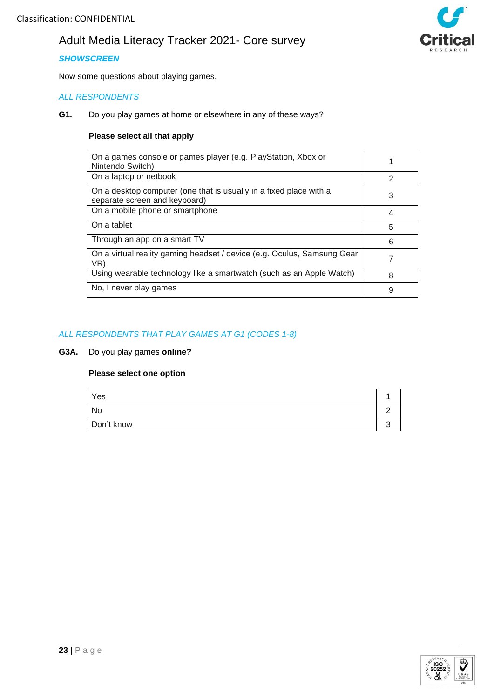## *SHOWSCREEN*

Now some questions about playing games.

## *ALL RESPONDENTS*

**G1.** Do you play games at home or elsewhere in any of these ways?

#### **Please select all that apply**

| On a games console or games player (e.g. PlayStation, Xbox or<br>Nintendo Switch)                   |               |
|-----------------------------------------------------------------------------------------------------|---------------|
| On a laptop or netbook                                                                              | $\mathcal{P}$ |
| On a desktop computer (one that is usually in a fixed place with a<br>separate screen and keyboard) | 3             |
| On a mobile phone or smartphone                                                                     | 4             |
| On a tablet                                                                                         | 5             |
| Through an app on a smart TV                                                                        | 6             |
| On a virtual reality gaming headset / device (e.g. Oculus, Samsung Gear<br>VR)                      | 7             |
| Using wearable technology like a smartwatch (such as an Apple Watch)                                | 8             |
| No, I never play games                                                                              | 9             |

### *ALL RESPONDENTS THAT PLAY GAMES AT G1 (CODES 1-8)*

**G3A.** Do you play games **online?**

| Yes        |  |
|------------|--|
| No         |  |
| Don't know |  |



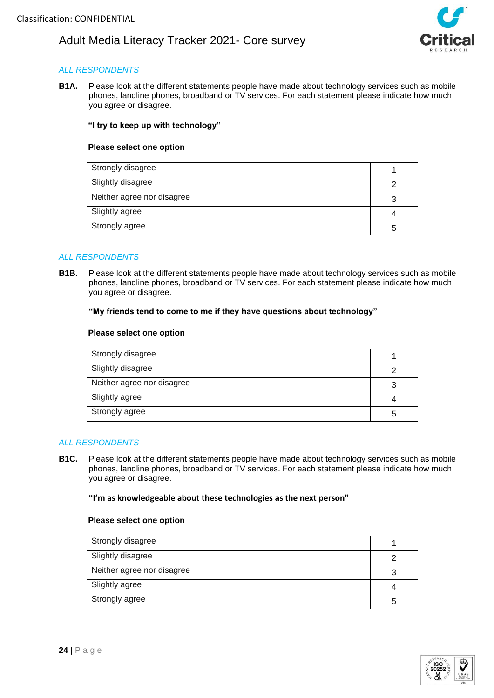

## *ALL RESPONDENTS*

**B1A.** Please look at the different statements people have made about technology services such as mobile phones, landline phones, broadband or TV services. For each statement please indicate how much you agree or disagree.

#### **"I try to keep up with technology"**

#### **Please select one option**

| Strongly disagree          |  |
|----------------------------|--|
| Slightly disagree          |  |
| Neither agree nor disagree |  |
| Slightly agree             |  |
| Strongly agree             |  |

#### *ALL RESPONDENTS*

**B1B.** Please look at the different statements people have made about technology services such as mobile phones, landline phones, broadband or TV services. For each statement please indicate how much you agree or disagree.

#### **"My friends tend to come to me if they have questions about technology"**

#### **Please select one option**

| Strongly disagree          |   |
|----------------------------|---|
| Slightly disagree          |   |
| Neither agree nor disagree | 3 |
| Slightly agree             |   |
| Strongly agree             | 5 |

#### *ALL RESPONDENTS*

**B1C.** Please look at the different statements people have made about technology services such as mobile phones, landline phones, broadband or TV services. For each statement please indicate how much you agree or disagree.

#### **"I'm as knowledgeable about these technologies as the next person"**

| Strongly disagree          |   |
|----------------------------|---|
| Slightly disagree          | っ |
| Neither agree nor disagree |   |
| Slightly agree             |   |
| Strongly agree             | 5 |

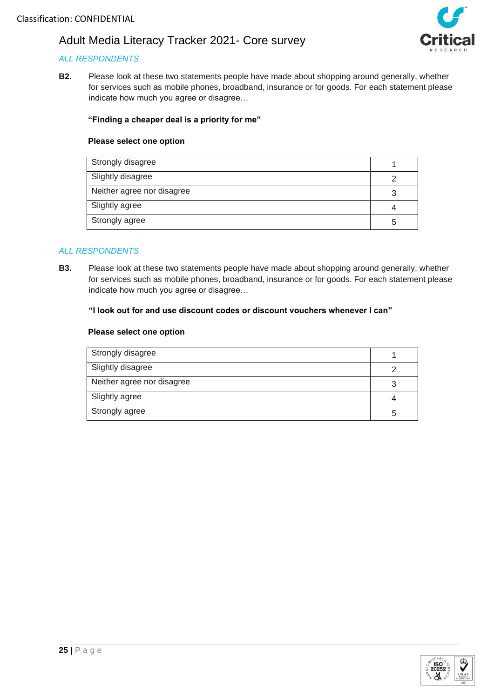## *ALL RESPONDENTS*

**B2.** Please look at these two statements people have made about shopping around generally, whether for services such as mobile phones, broadband, insurance or for goods. For each statement please indicate how much you agree or disagree…

### **"Finding a cheaper deal is a priority for me"**

#### **Please select one option**

| Strongly disagree          |  |
|----------------------------|--|
| Slightly disagree          |  |
| Neither agree nor disagree |  |
| Slightly agree             |  |
| Strongly agree             |  |

#### *ALL RESPONDENTS*

**B3.** Please look at these two statements people have made about shopping around generally, whether for services such as mobile phones, broadband, insurance or for goods. For each statement please indicate how much you agree or disagree…

#### **"I look out for and use discount codes or discount vouchers whenever I can"**

| Strongly disagree          |  |
|----------------------------|--|
| Slightly disagree          |  |
| Neither agree nor disagree |  |
| Slightly agree             |  |
| Strongly agree             |  |

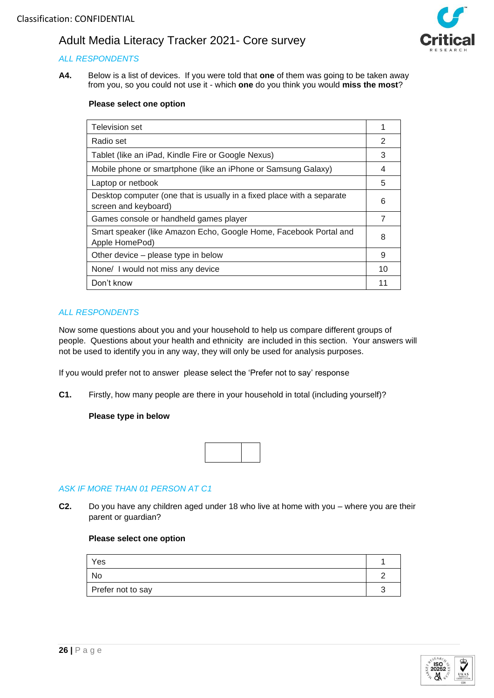## *ALL RESPONDENTS*

**A4.** Below is a list of devices. If you were told that **one** of them was going to be taken away from you, so you could not use it - which **one** do you think you would **miss the most**?



#### **Please select one option**

| Television set                                                                                 |    |
|------------------------------------------------------------------------------------------------|----|
| Radio set                                                                                      | 2  |
| Tablet (like an iPad, Kindle Fire or Google Nexus)                                             | 3  |
| Mobile phone or smartphone (like an iPhone or Samsung Galaxy)                                  | 4  |
| Laptop or netbook                                                                              | 5  |
| Desktop computer (one that is usually in a fixed place with a separate<br>screen and keyboard) | 6  |
| Games console or handheld games player                                                         |    |
| Smart speaker (like Amazon Echo, Google Home, Facebook Portal and<br>Apple HomePod)            | 8  |
| Other device – please type in below                                                            | 9  |
| None/ I would not miss any device                                                              | 10 |
| Don't know                                                                                     |    |

#### *ALL RESPONDENTS*

Now some questions about you and your household to help us compare different groups of people. Questions about your health and ethnicity are included in this section. Your answers will not be used to identify you in any way, they will only be used for analysis purposes.

If you would prefer not to answer please select the 'Prefer not to say' response

**C1.** Firstly, how many people are there in your household in total (including yourself)?

#### **Please type in below**



#### *ASK IF MORE THAN 01 PERSON AT C1*

**C2.** Do you have any children aged under 18 who live at home with you – where you are their parent or guardian?

| Yes               |  |
|-------------------|--|
| <b>No</b>         |  |
| Prefer not to say |  |

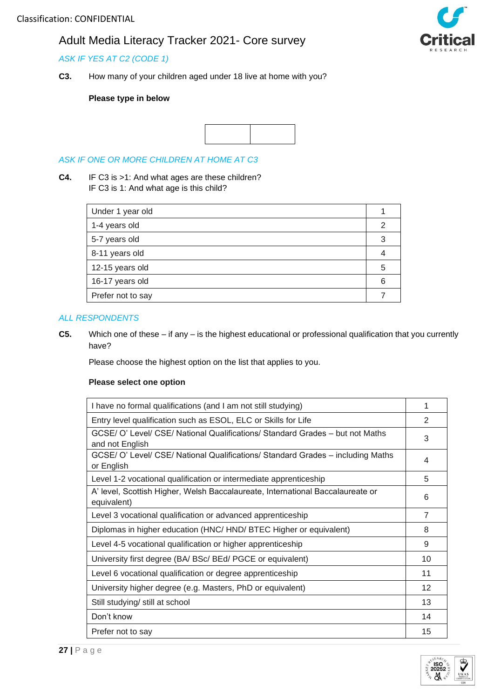## *ASK IF YES AT C2 (CODE 1)*

**C3.** How many of your children aged under 18 live at home with you?

#### **Please type in below**



#### *ASK IF ONE OR MORE CHILDREN AT HOME AT C3*

**C4.** IF C3 is >1: And what ages are these children? IF C3 is 1: And what age is this child?

| Under 1 year old  |   |
|-------------------|---|
| 1-4 years old     | 2 |
| 5-7 years old     | 3 |
| 8-11 years old    |   |
| 12-15 years old   | 5 |
| 16-17 years old   | 6 |
| Prefer not to say |   |

## *ALL RESPONDENTS*

**C5.** Which one of these – if any – is the highest educational or professional qualification that you currently have?

Please choose the highest option on the list that applies to you.

| I have no formal qualifications (and I am not still studying)                                    |    |  |
|--------------------------------------------------------------------------------------------------|----|--|
| Entry level qualification such as ESOL, ELC or Skills for Life                                   |    |  |
| GCSE/ O' Level/ CSE/ National Qualifications/ Standard Grades – but not Maths<br>and not English |    |  |
| GCSE/ O' Level/ CSE/ National Qualifications/ Standard Grades - including Maths<br>or English    |    |  |
| Level 1-2 vocational qualification or intermediate apprenticeship                                | 5  |  |
| A' level, Scottish Higher, Welsh Baccalaureate, International Baccalaureate or<br>equivalent)    |    |  |
| Level 3 vocational qualification or advanced apprenticeship                                      |    |  |
| Diplomas in higher education (HNC/ HND/ BTEC Higher or equivalent)                               |    |  |
| Level 4-5 vocational qualification or higher apprenticeship                                      |    |  |
| University first degree (BA/ BSc/ BEd/ PGCE or equivalent)                                       | 10 |  |
| Level 6 vocational qualification or degree apprenticeship                                        |    |  |
| University higher degree (e.g. Masters, PhD or equivalent)                                       |    |  |
| Still studying/ still at school                                                                  |    |  |
| Don't know                                                                                       |    |  |
| Prefer not to say                                                                                | 15 |  |



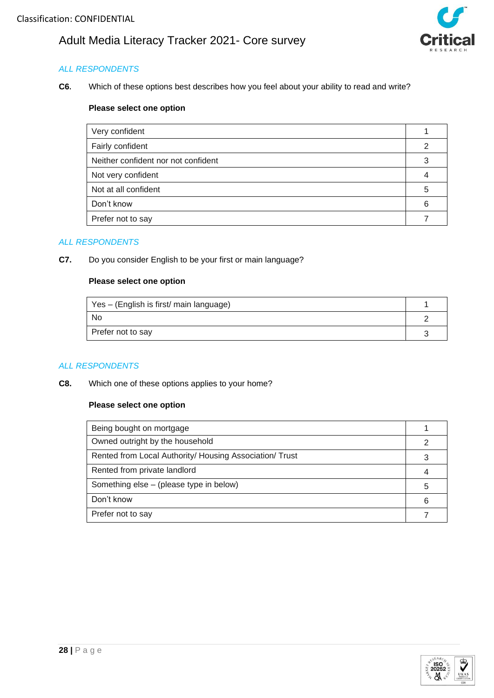

## *ALL RESPONDENTS*

**C6.** Which of these options best describes how you feel about your ability to read and write?

### **Please select one option**

| Very confident                      |   |
|-------------------------------------|---|
| Fairly confident                    |   |
| Neither confident nor not confident |   |
| Not very confident                  |   |
| Not at all confident                | 5 |
| Don't know                          | 6 |
| Prefer not to say                   |   |

#### *ALL RESPONDENTS*

**C7.** Do you consider English to be your first or main language?

## **Please select one option**

| Yes – (English is first/ main language) |  |
|-----------------------------------------|--|
| <b>No</b>                               |  |
| Prefer not to say                       |  |

#### *ALL RESPONDENTS*

**C8.** Which one of these options applies to your home?

| Being bought on mortgage                                |   |
|---------------------------------------------------------|---|
| Owned outright by the household                         | 2 |
| Rented from Local Authority/ Housing Association/ Trust |   |
| Rented from private landlord                            |   |
| Something else – (please type in below)                 | 5 |
| Don't know                                              |   |
| Prefer not to say                                       |   |

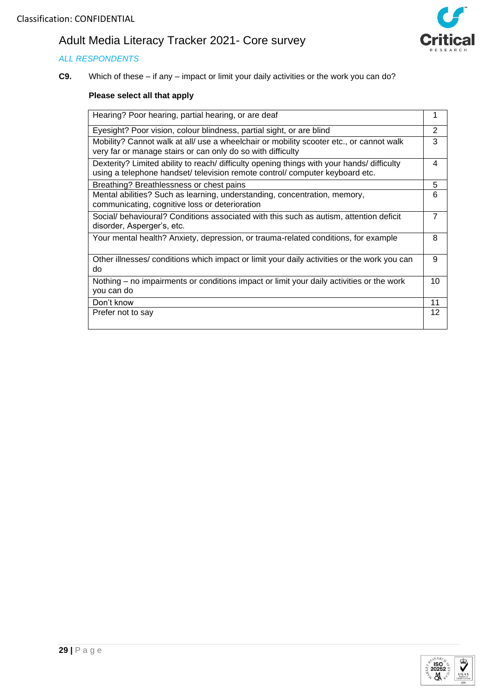## *ALL RESPONDENTS*



**C9.** Which of these – if any – impact or limit your daily activities or the work you can do?

| Hearing? Poor hearing, partial hearing, or are deaf                                                                                                                        |    |  |
|----------------------------------------------------------------------------------------------------------------------------------------------------------------------------|----|--|
| Eyesight? Poor vision, colour blindness, partial sight, or are blind                                                                                                       |    |  |
| Mobility? Cannot walk at all/ use a wheelchair or mobility scooter etc., or cannot walk<br>very far or manage stairs or can only do so with difficulty                     |    |  |
| Dexterity? Limited ability to reach/ difficulty opening things with your hands/ difficulty<br>using a telephone handset/ television remote control/ computer keyboard etc. | 4  |  |
| Breathing? Breathlessness or chest pains                                                                                                                                   | 5  |  |
| Mental abilities? Such as learning, understanding, concentration, memory,<br>communicating, cognitive loss or deterioration                                                | 6  |  |
| Social/ behavioural? Conditions associated with this such as autism, attention deficit<br>disorder, Asperger's, etc.                                                       |    |  |
| Your mental health? Anxiety, depression, or trauma-related conditions, for example                                                                                         | 8  |  |
| Other illnesses/ conditions which impact or limit your daily activities or the work you can<br>do                                                                          | 9  |  |
| Nothing - no impairments or conditions impact or limit your daily activities or the work<br>you can do                                                                     | 10 |  |
| Don't know                                                                                                                                                                 | 11 |  |
| Prefer not to say                                                                                                                                                          | 12 |  |

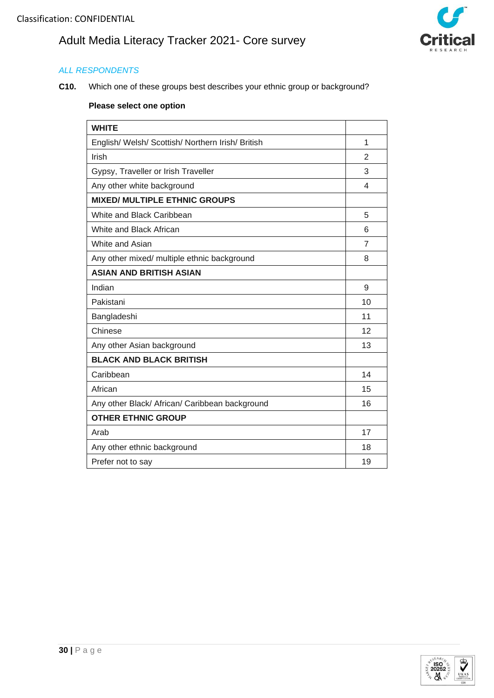

## *ALL RESPONDENTS*

**C10.** Which one of these groups best describes your ethnic group or background?

| <b>WHITE</b>                                      |                |
|---------------------------------------------------|----------------|
| English/ Welsh/ Scottish/ Northern Irish/ British | 1              |
| Irish                                             | $\mathfrak{p}$ |
| Gypsy, Traveller or Irish Traveller               |                |
| Any other white background                        |                |
| <b>MIXED/ MULTIPLE ETHNIC GROUPS</b>              |                |
| White and Black Caribbean                         | 5              |
| White and Black African                           | 6              |
| White and Asian                                   | $\overline{7}$ |
| Any other mixed/ multiple ethnic background       | 8              |
| <b>ASIAN AND BRITISH ASIAN</b>                    |                |
| Indian                                            | 9              |
| Pakistani                                         | 10             |
| Bangladeshi                                       | 11             |
| Chinese                                           | 12             |
| Any other Asian background                        | 13             |
| <b>BLACK AND BLACK BRITISH</b>                    |                |
| Caribbean                                         | 14             |
| African                                           | 15             |
| Any other Black/ African/ Caribbean background    | 16             |
| <b>OTHER ETHNIC GROUP</b>                         |                |
| Arab                                              | 17             |
| Any other ethnic background                       | 18             |
| Prefer not to say                                 | 19             |